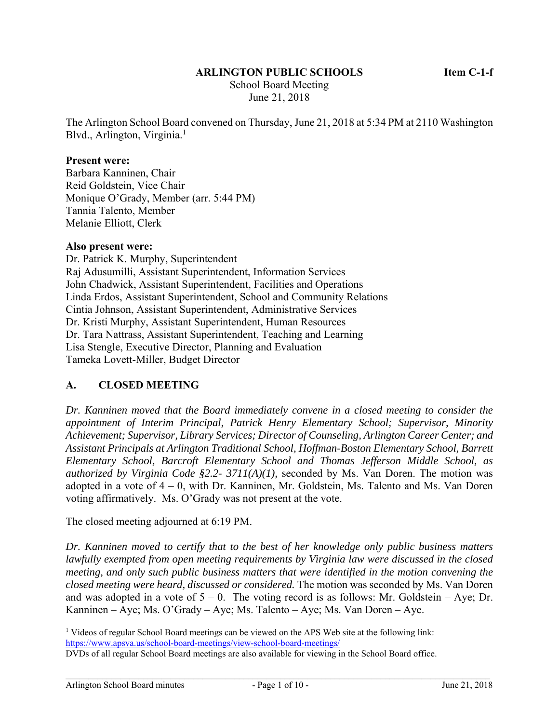### **ARLINGTON PUBLIC SCHOOLS Item C-1-f**

 School Board Meeting June 21, 2018

The Arlington School Board convened on Thursday, June 21, 2018 at 5:34 PM at 2110 Washington Blvd., Arlington, Virginia.<sup>1</sup>

#### **Present were:**

Barbara Kanninen, Chair Reid Goldstein, Vice Chair Monique O'Grady, Member (arr. 5:44 PM) Tannia Talento, Member Melanie Elliott, Clerk

#### **Also present were:**

Dr. Patrick K. Murphy, Superintendent Raj Adusumilli, Assistant Superintendent, Information Services John Chadwick, Assistant Superintendent, Facilities and Operations Linda Erdos, Assistant Superintendent, School and Community Relations Cintia Johnson, Assistant Superintendent, Administrative Services Dr. Kristi Murphy, Assistant Superintendent, Human Resources Dr. Tara Nattrass, Assistant Superintendent, Teaching and Learning Lisa Stengle, Executive Director, Planning and Evaluation Tameka Lovett-Miller, Budget Director

### **A. CLOSED MEETING**

*Dr. Kanninen moved that the Board immediately convene in a closed meeting to consider the appointment of Interim Principal, Patrick Henry Elementary School; Supervisor, Minority Achievement; Supervisor, Library Services; Director of Counseling, Arlington Career Center; and Assistant Principals at Arlington Traditional School, Hoffman-Boston Elementary School, Barrett Elementary School, Barcroft Elementary School and Thomas Jefferson Middle School, as authorized by Virginia Code §2.2- 3711(A)(1),* seconded by Ms. Van Doren. The motion was adopted in a vote of 4 – 0, with Dr. Kanninen, Mr. Goldstein, Ms. Talento and Ms. Van Doren voting affirmatively. Ms. O'Grady was not present at the vote.

The closed meeting adjourned at 6:19 PM.

*Dr. Kanninen moved to certify that to the best of her knowledge only public business matters lawfully exempted from open meeting requirements by Virginia law were discussed in the closed meeting, and only such public business matters that were identified in the motion convening the closed meeting were heard, discussed or considered.* The motion was seconded by Ms. Van Doren and was adopted in a vote of  $5 - 0$ . The voting record is as follows: Mr. Goldstein – Aye; Dr. Kanninen – Aye; Ms. O'Grady – Aye; Ms. Talento – Aye; Ms. Van Doren – Aye.

l <sup>1</sup> Videos of regular School Board meetings can be viewed on the APS Web site at the following link: https://www.apsva.us/school-board-meetings/view-school-board-meetings/

DVDs of all regular School Board meetings are also available for viewing in the School Board office.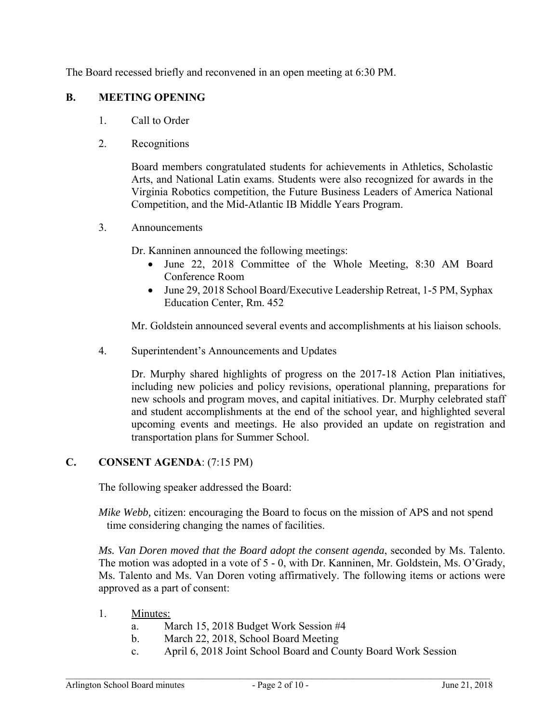The Board recessed briefly and reconvened in an open meeting at 6:30 PM.

### **B. MEETING OPENING**

- 1. Call to Order
- 2. Recognitions

Board members congratulated students for achievements in Athletics, Scholastic Arts, and National Latin exams. Students were also recognized for awards in the Virginia Robotics competition, the Future Business Leaders of America National Competition, and the Mid-Atlantic IB Middle Years Program.

3. Announcements

Dr. Kanninen announced the following meetings:

- June 22, 2018 Committee of the Whole Meeting, 8:30 AM Board Conference Room
- June 29, 2018 School Board/Executive Leadership Retreat, 1-5 PM, Syphax Education Center, Rm. 452

Mr. Goldstein announced several events and accomplishments at his liaison schools.

4. Superintendent's Announcements and Updates

Dr. Murphy shared highlights of progress on the 2017-18 Action Plan initiatives, including new policies and policy revisions, operational planning, preparations for new schools and program moves, and capital initiatives. Dr. Murphy celebrated staff and student accomplishments at the end of the school year, and highlighted several upcoming events and meetings. He also provided an update on registration and transportation plans for Summer School.

### **C. CONSENT AGENDA**: (7:15 PM)

The following speaker addressed the Board:

*Mike Webb,* citizen: encouraging the Board to focus on the mission of APS and not spend time considering changing the names of facilities.

*Ms. Van Doren moved that the Board adopt the consent agenda*, seconded by Ms. Talento. The motion was adopted in a vote of 5 - 0, with Dr. Kanninen, Mr. Goldstein, Ms. O'Grady, Ms. Talento and Ms. Van Doren voting affirmatively. The following items or actions were approved as a part of consent:

- 1. Minutes:
	- a. March 15, 2018 Budget Work Session #4
	- b. March 22, 2018, School Board Meeting
	- c. April 6, 2018 Joint School Board and County Board Work Session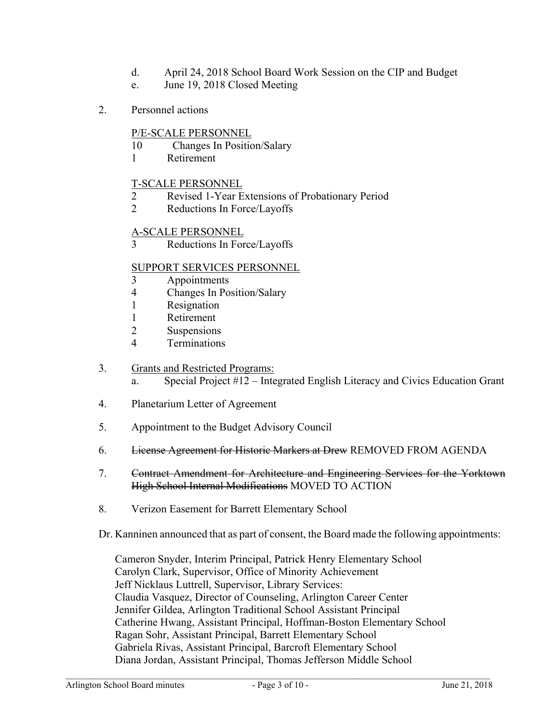- d. April 24, 2018 School Board Work Session on the CIP and Budget
- e. June 19, 2018 Closed Meeting
- 2. Personnel actions

# P/E-SCALE PERSONNEL

- 10 Changes In Position/Salary
- 1 Retirement

# T-SCALE PERSONNEL

- 2 Revised 1-Year Extensions of Probationary Period
- 2 Reductions In Force/Layoffs

### A-SCALE PERSONNEL

3 Reductions In Force/Layoffs

# SUPPORT SERVICES PERSONNEL

- 3 Appointments
- 4 Changes In Position/Salary
- 1 Resignation
- 1 Retirement
- 2 Suspensions
- 4 Terminations

### 3. Grants and Restricted Programs:

- a. Special Project #12 Integrated English Literacy and Civics Education Grant
- 4. Planetarium Letter of Agreement
- 5. Appointment to the Budget Advisory Council
- 6. License Agreement for Historic Markers at Drew REMOVED FROM AGENDA
- 7. Contract Amendment for Architecture and Engineering Services for the Yorktown High School Internal Modifications MOVED TO ACTION
- 8. Verizon Easement for Barrett Elementary School

Dr. Kanninen announced that as part of consent, the Board made the following appointments:

Cameron Snyder, Interim Principal, Patrick Henry Elementary School Carolyn Clark, Supervisor, Office of Minority Achievement Jeff Nicklaus Luttrell, Supervisor, Library Services: Claudia Vasquez, Director of Counseling, Arlington Career Center Jennifer Gildea, Arlington Traditional School Assistant Principal Catherine Hwang, Assistant Principal, Hoffman-Boston Elementary School Ragan Sohr, Assistant Principal, Barrett Elementary School Gabriela Rivas, Assistant Principal, Barcroft Elementary School Diana Jordan, Assistant Principal, Thomas Jefferson Middle School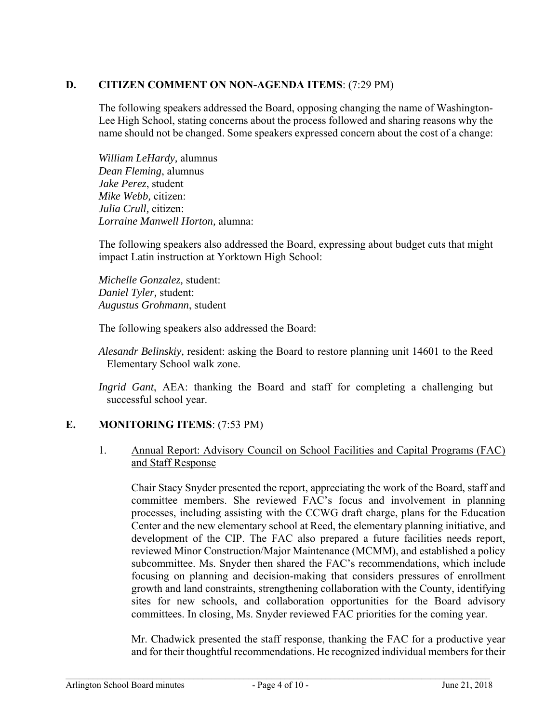# **D. CITIZEN COMMENT ON NON-AGENDA ITEMS**: (7:29 PM)

The following speakers addressed the Board, opposing changing the name of Washington-Lee High School, stating concerns about the process followed and sharing reasons why the name should not be changed. Some speakers expressed concern about the cost of a change:

*William LeHardy,* alumnus *Dean Fleming*, alumnus *Jake Perez*, student *Mike Webb,* citizen: *Julia Crull,* citizen: *Lorraine Manwell Horton,* alumna:

The following speakers also addressed the Board, expressing about budget cuts that might impact Latin instruction at Yorktown High School:

*Michelle Gonzalez,* student: *Daniel Tyler,* student: *Augustus Grohmann*, student

The following speakers also addressed the Board:

*Alesandr Belinskiy,* resident: asking the Board to restore planning unit 14601 to the Reed Elementary School walk zone.

*Ingrid Gant*, AEA: thanking the Board and staff for completing a challenging but successful school year.

# **E. MONITORING ITEMS**: (7:53 PM)

### 1. Annual Report: Advisory Council on School Facilities and Capital Programs (FAC) and Staff Response

Chair Stacy Snyder presented the report, appreciating the work of the Board, staff and committee members. She reviewed FAC's focus and involvement in planning processes, including assisting with the CCWG draft charge, plans for the Education Center and the new elementary school at Reed, the elementary planning initiative, and development of the CIP. The FAC also prepared a future facilities needs report, reviewed Minor Construction/Major Maintenance (MCMM), and established a policy subcommittee. Ms. Snyder then shared the FAC's recommendations, which include focusing on planning and decision-making that considers pressures of enrollment growth and land constraints, strengthening collaboration with the County, identifying sites for new schools, and collaboration opportunities for the Board advisory committees. In closing, Ms. Snyder reviewed FAC priorities for the coming year.

Mr. Chadwick presented the staff response, thanking the FAC for a productive year and for their thoughtful recommendations. He recognized individual members for their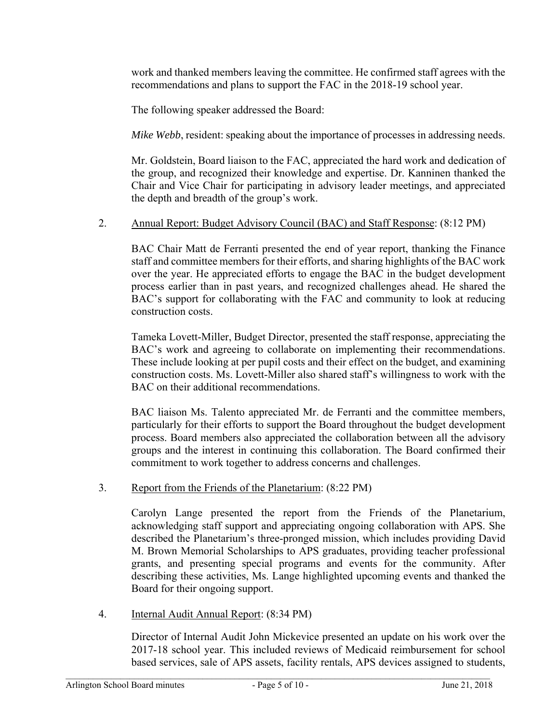work and thanked members leaving the committee. He confirmed staff agrees with the recommendations and plans to support the FAC in the 2018-19 school year.

The following speaker addressed the Board:

*Mike Webb*, resident: speaking about the importance of processes in addressing needs.

Mr. Goldstein, Board liaison to the FAC, appreciated the hard work and dedication of the group, and recognized their knowledge and expertise. Dr. Kanninen thanked the Chair and Vice Chair for participating in advisory leader meetings, and appreciated the depth and breadth of the group's work.

### 2. Annual Report: Budget Advisory Council (BAC) and Staff Response: (8:12 PM)

BAC Chair Matt de Ferranti presented the end of year report, thanking the Finance staff and committee members for their efforts, and sharing highlights of the BAC work over the year. He appreciated efforts to engage the BAC in the budget development process earlier than in past years, and recognized challenges ahead. He shared the BAC's support for collaborating with the FAC and community to look at reducing construction costs.

Tameka Lovett-Miller, Budget Director, presented the staff response, appreciating the BAC's work and agreeing to collaborate on implementing their recommendations. These include looking at per pupil costs and their effect on the budget, and examining construction costs. Ms. Lovett-Miller also shared staff's willingness to work with the BAC on their additional recommendations.

BAC liaison Ms. Talento appreciated Mr. de Ferranti and the committee members, particularly for their efforts to support the Board throughout the budget development process. Board members also appreciated the collaboration between all the advisory groups and the interest in continuing this collaboration. The Board confirmed their commitment to work together to address concerns and challenges.

3. Report from the Friends of the Planetarium: (8:22 PM)

Carolyn Lange presented the report from the Friends of the Planetarium, acknowledging staff support and appreciating ongoing collaboration with APS. She described the Planetarium's three-pronged mission, which includes providing David M. Brown Memorial Scholarships to APS graduates, providing teacher professional grants, and presenting special programs and events for the community. After describing these activities, Ms. Lange highlighted upcoming events and thanked the Board for their ongoing support.

4. Internal Audit Annual Report: (8:34 PM)

Director of Internal Audit John Mickevice presented an update on his work over the 2017-18 school year. This included reviews of Medicaid reimbursement for school based services, sale of APS assets, facility rentals, APS devices assigned to students,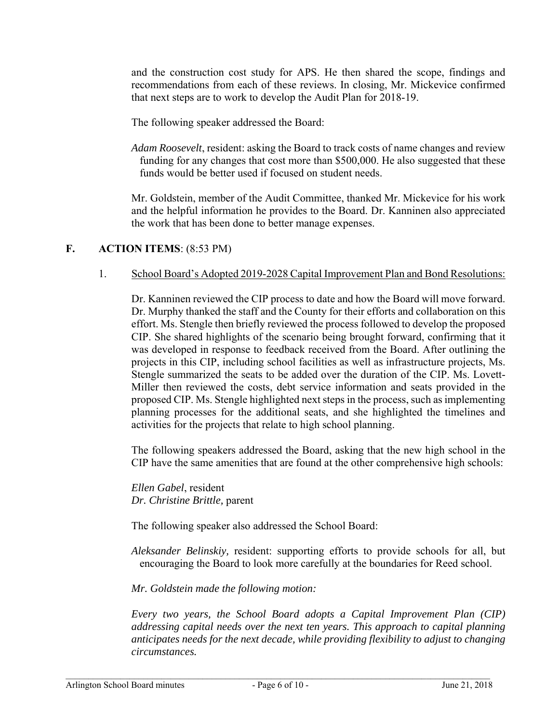and the construction cost study for APS. He then shared the scope, findings and recommendations from each of these reviews. In closing, Mr. Mickevice confirmed that next steps are to work to develop the Audit Plan for 2018-19.

The following speaker addressed the Board:

*Adam Roosevelt*, resident: asking the Board to track costs of name changes and review funding for any changes that cost more than \$500,000. He also suggested that these funds would be better used if focused on student needs.

Mr. Goldstein, member of the Audit Committee, thanked Mr. Mickevice for his work and the helpful information he provides to the Board. Dr. Kanninen also appreciated the work that has been done to better manage expenses.

# **F. ACTION ITEMS**: (8:53 PM)

1. School Board's Adopted 2019-2028 Capital Improvement Plan and Bond Resolutions:

Dr. Kanninen reviewed the CIP process to date and how the Board will move forward. Dr. Murphy thanked the staff and the County for their efforts and collaboration on this effort. Ms. Stengle then briefly reviewed the process followed to develop the proposed CIP. She shared highlights of the scenario being brought forward, confirming that it was developed in response to feedback received from the Board. After outlining the projects in this CIP, including school facilities as well as infrastructure projects, Ms. Stengle summarized the seats to be added over the duration of the CIP. Ms. Lovett-Miller then reviewed the costs, debt service information and seats provided in the proposed CIP. Ms. Stengle highlighted next steps in the process, such as implementing planning processes for the additional seats, and she highlighted the timelines and activities for the projects that relate to high school planning.

The following speakers addressed the Board, asking that the new high school in the CIP have the same amenities that are found at the other comprehensive high schools:

*Ellen Gabel*, resident *Dr. Christine Brittle,* parent

The following speaker also addressed the School Board:

*Aleksander Belinskiy,* resident: supporting efforts to provide schools for all, but encouraging the Board to look more carefully at the boundaries for Reed school.

*Mr. Goldstein made the following motion:* 

*Every two years, the School Board adopts a Capital Improvement Plan (CIP) addressing capital needs over the next ten years. This approach to capital planning anticipates needs for the next decade, while providing flexibility to adjust to changing circumstances.*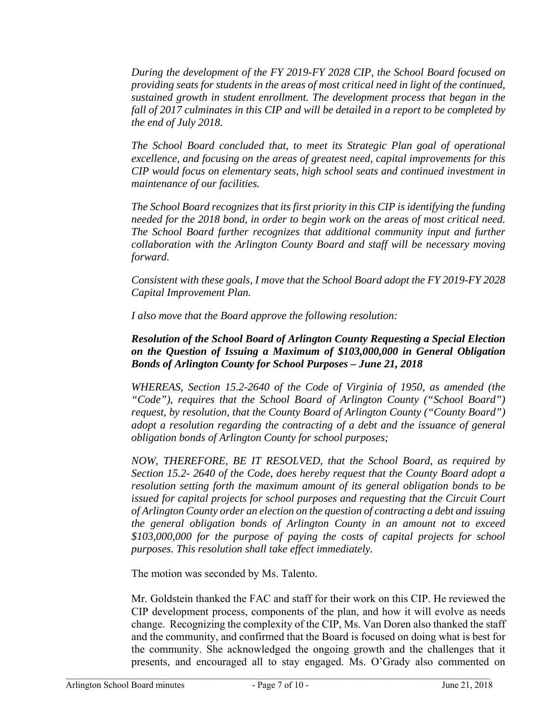*During the development of the FY 2019-FY 2028 CIP, the School Board focused on providing seats for students in the areas of most critical need in light of the continued, sustained growth in student enrollment. The development process that began in the fall of 2017 culminates in this CIP and will be detailed in a report to be completed by the end of July 2018.* 

*The School Board concluded that, to meet its Strategic Plan goal of operational excellence, and focusing on the areas of greatest need, capital improvements for this CIP would focus on elementary seats, high school seats and continued investment in maintenance of our facilities.* 

*The School Board recognizes that its first priority in this CIP is identifying the funding needed for the 2018 bond, in order to begin work on the areas of most critical need. The School Board further recognizes that additional community input and further collaboration with the Arlington County Board and staff will be necessary moving forward.* 

*Consistent with these goals, I move that the School Board adopt the FY 2019-FY 2028 Capital Improvement Plan.* 

*I also move that the Board approve the following resolution:* 

# *Resolution of the School Board of Arlington County Requesting a Special Election on the Question of Issuing a Maximum of \$103,000,000 in General Obligation Bonds of Arlington County for School Purposes – June 21, 2018*

*WHEREAS, Section 15.2-2640 of the Code of Virginia of 1950, as amended (the "Code"), requires that the School Board of Arlington County ("School Board") request, by resolution, that the County Board of Arlington County ("County Board") adopt a resolution regarding the contracting of a debt and the issuance of general obligation bonds of Arlington County for school purposes;* 

*NOW, THEREFORE, BE IT RESOLVED, that the School Board, as required by Section 15.2- 2640 of the Code, does hereby request that the County Board adopt a resolution setting forth the maximum amount of its general obligation bonds to be issued for capital projects for school purposes and requesting that the Circuit Court of Arlington County order an election on the question of contracting a debt and issuing the general obligation bonds of Arlington County in an amount not to exceed \$103,000,000 for the purpose of paying the costs of capital projects for school purposes. This resolution shall take effect immediately.* 

The motion was seconded by Ms. Talento.

Mr. Goldstein thanked the FAC and staff for their work on this CIP. He reviewed the CIP development process, components of the plan, and how it will evolve as needs change. Recognizing the complexity of the CIP, Ms. Van Doren also thanked the staff and the community, and confirmed that the Board is focused on doing what is best for the community. She acknowledged the ongoing growth and the challenges that it presents, and encouraged all to stay engaged. Ms. O'Grady also commented on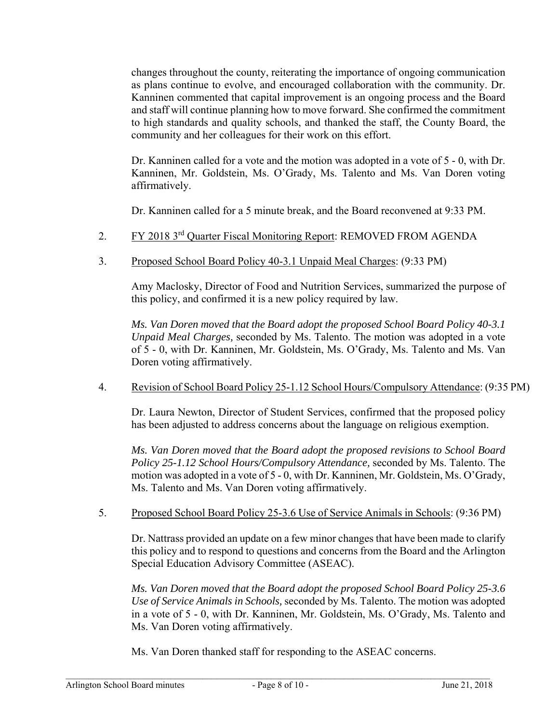changes throughout the county, reiterating the importance of ongoing communication as plans continue to evolve, and encouraged collaboration with the community. Dr. Kanninen commented that capital improvement is an ongoing process and the Board and staff will continue planning how to move forward. She confirmed the commitment to high standards and quality schools, and thanked the staff, the County Board, the community and her colleagues for their work on this effort.

Dr. Kanninen called for a vote and the motion was adopted in a vote of 5 - 0, with Dr. Kanninen, Mr. Goldstein, Ms. O'Grady, Ms. Talento and Ms. Van Doren voting affirmatively.

Dr. Kanninen called for a 5 minute break, and the Board reconvened at 9:33 PM.

- 2. FY 2018 3<sup>rd</sup> Quarter Fiscal Monitoring Report: REMOVED FROM AGENDA
- 3. Proposed School Board Policy 40-3.1 Unpaid Meal Charges: (9:33 PM)

Amy Maclosky, Director of Food and Nutrition Services, summarized the purpose of this policy, and confirmed it is a new policy required by law.

*Ms. Van Doren moved that the Board adopt the proposed School Board Policy 40-3.1 Unpaid Meal Charges,* seconded by Ms. Talento. The motion was adopted in a vote of 5 - 0, with Dr. Kanninen, Mr. Goldstein, Ms. O'Grady, Ms. Talento and Ms. Van Doren voting affirmatively.

4. Revision of School Board Policy 25-1.12 School Hours/Compulsory Attendance: (9:35 PM)

Dr. Laura Newton, Director of Student Services, confirmed that the proposed policy has been adjusted to address concerns about the language on religious exemption.

*Ms. Van Doren moved that the Board adopt the proposed revisions to School Board Policy 25-1.12 School Hours/Compulsory Attendance,* seconded by Ms. Talento. The motion was adopted in a vote of 5 - 0, with Dr. Kanninen, Mr. Goldstein, Ms. O'Grady, Ms. Talento and Ms. Van Doren voting affirmatively.

5. Proposed School Board Policy 25-3.6 Use of Service Animals in Schools: (9:36 PM)

Dr. Nattrass provided an update on a few minor changes that have been made to clarify this policy and to respond to questions and concerns from the Board and the Arlington Special Education Advisory Committee (ASEAC).

*Ms. Van Doren moved that the Board adopt the proposed School Board Policy 25-3.6 Use of Service Animals in Schools,* seconded by Ms. Talento. The motion was adopted in a vote of 5 - 0, with Dr. Kanninen, Mr. Goldstein, Ms. O'Grady, Ms. Talento and Ms. Van Doren voting affirmatively.

Ms. Van Doren thanked staff for responding to the ASEAC concerns.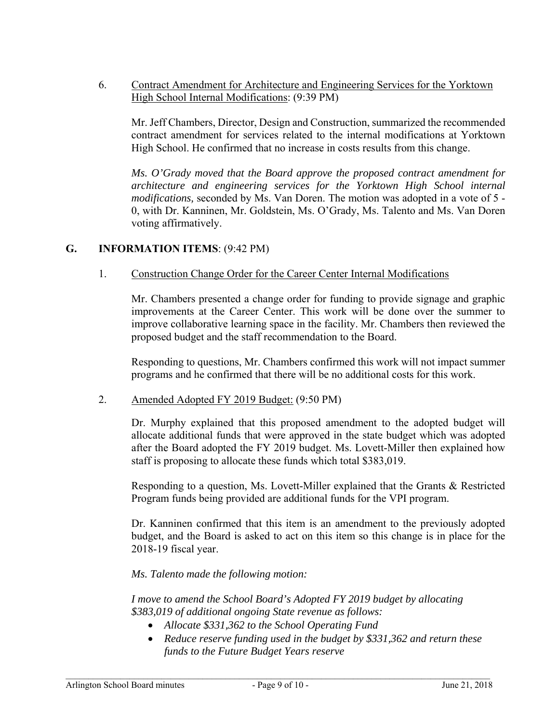6. Contract Amendment for Architecture and Engineering Services for the Yorktown High School Internal Modifications: (9:39 PM)

Mr. Jeff Chambers, Director, Design and Construction, summarized the recommended contract amendment for services related to the internal modifications at Yorktown High School. He confirmed that no increase in costs results from this change.

*Ms. O'Grady moved that the Board approve the proposed contract amendment for architecture and engineering services for the Yorktown High School internal modifications,* seconded by Ms. Van Doren. The motion was adopted in a vote of 5 - 0, with Dr. Kanninen, Mr. Goldstein, Ms. O'Grady, Ms. Talento and Ms. Van Doren voting affirmatively.

### **G. INFORMATION ITEMS**: (9:42 PM)

### 1. Construction Change Order for the Career Center Internal Modifications

Mr. Chambers presented a change order for funding to provide signage and graphic improvements at the Career Center. This work will be done over the summer to improve collaborative learning space in the facility. Mr. Chambers then reviewed the proposed budget and the staff recommendation to the Board.

Responding to questions, Mr. Chambers confirmed this work will not impact summer programs and he confirmed that there will be no additional costs for this work.

### 2. Amended Adopted FY 2019 Budget: (9:50 PM)

Dr. Murphy explained that this proposed amendment to the adopted budget will allocate additional funds that were approved in the state budget which was adopted after the Board adopted the FY 2019 budget. Ms. Lovett-Miller then explained how staff is proposing to allocate these funds which total \$383,019.

Responding to a question, Ms. Lovett-Miller explained that the Grants & Restricted Program funds being provided are additional funds for the VPI program.

Dr. Kanninen confirmed that this item is an amendment to the previously adopted budget, and the Board is asked to act on this item so this change is in place for the 2018-19 fiscal year.

### *Ms. Talento made the following motion:*

*I move to amend the School Board's Adopted FY 2019 budget by allocating \$383,019 of additional ongoing State revenue as follows:* 

- *Allocate \$331,362 to the School Operating Fund*
- *Reduce reserve funding used in the budget by \$331,362 and return these funds to the Future Budget Years reserve*